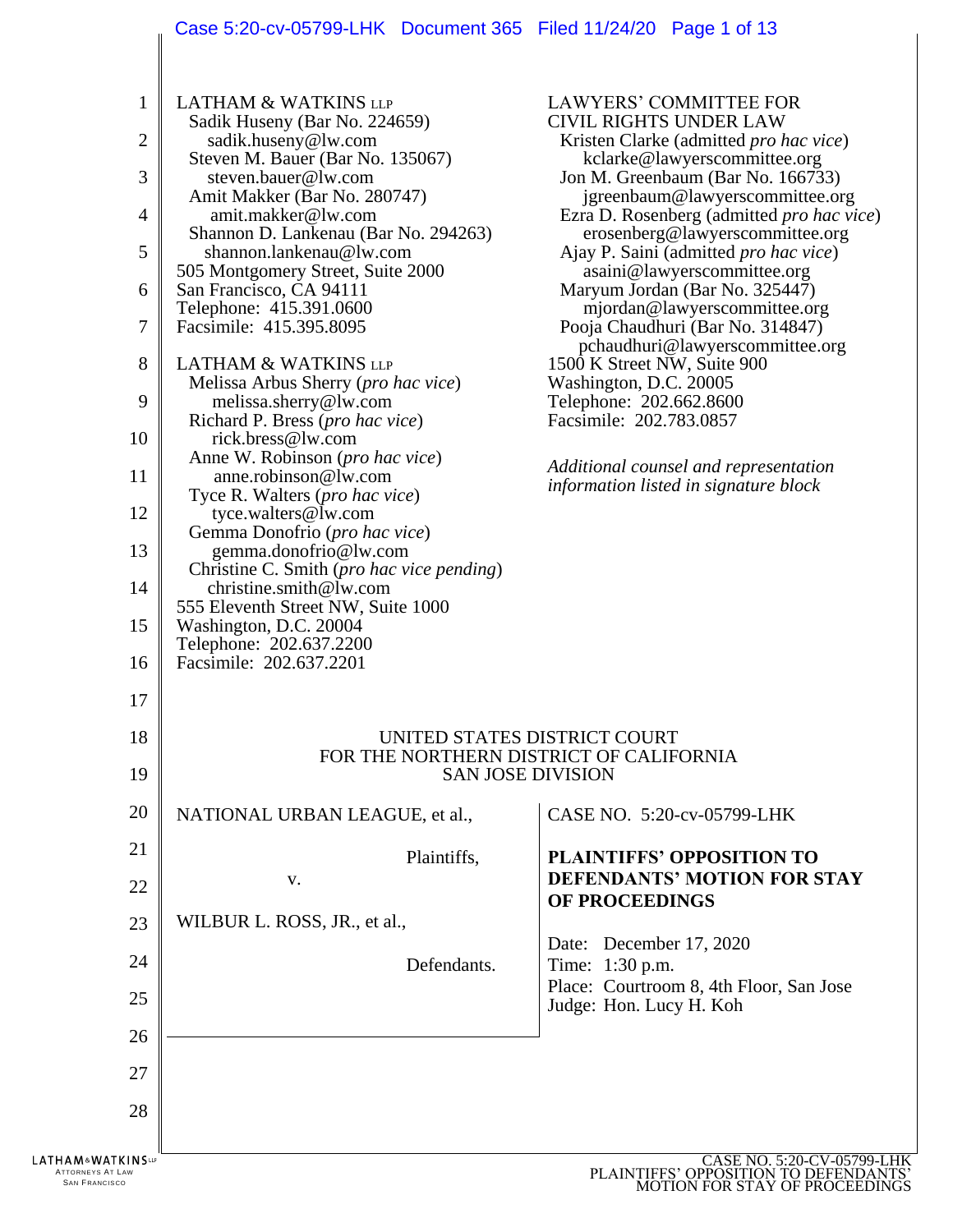# Case 5:20-cv-05799-LHK Document 365 Filed 11/24/20 Page 1 of 13

 $\parallel$ 

| 2<br>3<br>$\overline{4}$<br>5<br>6<br>7<br>8<br>9<br>10<br>11<br>12<br>13<br>14<br>15<br>16<br>17 | sadik.huseny@lw.com<br>Steven M. Bauer (Bar No. 135067)<br>steven.bauer@lw.com<br>Amit Makker (Bar No. 280747)<br>amit.makker@lw.com<br>Shannon D. Lankenau (Bar No. 294263)<br>shannon.lankenau@lw.com<br>505 Montgomery Street, Suite 2000<br>San Francisco, CA 94111<br>Telephone: 415.391.0600<br>Facsimile: 415.395.8095<br><b>LATHAM &amp; WATKINS LLP</b><br>Melissa Arbus Sherry ( <i>pro hac vice</i> )<br>melissa.sherry@lw.com<br>Richard P. Bress (pro hac vice)<br>rick.bress@lw.com<br>Anne W. Robinson ( <i>pro hac vice</i> )<br>anne.robinson@lw.com<br>Tyce R. Walters ( <i>pro hac vice</i> )<br>tyce.walters@lw.com<br>Gemma Donofrio (pro hac vice)<br>gemma.donofrio@lw.com<br>Christine C. Smith ( <i>pro hac vice pending</i> )<br>christine.smith@lw.com<br>555 Eleventh Street NW, Suite 1000<br>Washington, D.C. 20004<br>Telephone: 202.637.2200<br>Facsimile: 202.637.2201 | <b>CIVIL RIGHTS UNDER LAW</b><br>Kristen Clarke (admitted <i>pro hac vice</i> )<br>kclarke@lawyerscommittee.org<br>Jon M. Greenbaum (Bar No. 166733)<br>jgreenbaum@lawyerscommittee.org<br>Ezra D. Rosenberg (admitted <i>pro hac vice</i> )<br>erosenberg@lawyerscommittee.org<br>Ajay P. Saini (admitted <i>pro hac vice</i> )<br>asaini@lawyerscommittee.org<br>Maryum Jordan (Bar No. 325447)<br>mjordan@lawyerscommittee.org<br>Pooja Chaudhuri (Bar No. 314847)<br>pchaudhuri@lawyerscommittee.org<br>1500 K Street NW, Suite 900<br>Washington, D.C. 20005<br>Telephone: 202.662.8600<br>Facsimile: 202.783.0857<br>Additional counsel and representation<br>information listed in signature block |  |  |
|---------------------------------------------------------------------------------------------------|---------------------------------------------------------------------------------------------------------------------------------------------------------------------------------------------------------------------------------------------------------------------------------------------------------------------------------------------------------------------------------------------------------------------------------------------------------------------------------------------------------------------------------------------------------------------------------------------------------------------------------------------------------------------------------------------------------------------------------------------------------------------------------------------------------------------------------------------------------------------------------------------------------|-----------------------------------------------------------------------------------------------------------------------------------------------------------------------------------------------------------------------------------------------------------------------------------------------------------------------------------------------------------------------------------------------------------------------------------------------------------------------------------------------------------------------------------------------------------------------------------------------------------------------------------------------------------------------------------------------------------|--|--|
| 18<br>19                                                                                          |                                                                                                                                                                                                                                                                                                                                                                                                                                                                                                                                                                                                                                                                                                                                                                                                                                                                                                         | UNITED STATES DISTRICT COURT<br>FOR THE NORTHERN DISTRICT OF CALIFORNIA<br><b>SAN JOSE DIVISION</b>                                                                                                                                                                                                                                                                                                                                                                                                                                                                                                                                                                                                       |  |  |
| 20                                                                                                | NATIONAL URBAN LEAGUE, et al.,                                                                                                                                                                                                                                                                                                                                                                                                                                                                                                                                                                                                                                                                                                                                                                                                                                                                          | CASE NO. 5:20-cv-05799-LHK                                                                                                                                                                                                                                                                                                                                                                                                                                                                                                                                                                                                                                                                                |  |  |
| 21                                                                                                | Plaintiffs,                                                                                                                                                                                                                                                                                                                                                                                                                                                                                                                                                                                                                                                                                                                                                                                                                                                                                             | <b>PLAINTIFFS' OPPOSITION TO</b>                                                                                                                                                                                                                                                                                                                                                                                                                                                                                                                                                                                                                                                                          |  |  |
| 22                                                                                                | V.                                                                                                                                                                                                                                                                                                                                                                                                                                                                                                                                                                                                                                                                                                                                                                                                                                                                                                      | DEFENDANTS' MOTION FOR STAY<br>OF PROCEEDINGS                                                                                                                                                                                                                                                                                                                                                                                                                                                                                                                                                                                                                                                             |  |  |
| 23                                                                                                | WILBUR L. ROSS, JR., et al.,                                                                                                                                                                                                                                                                                                                                                                                                                                                                                                                                                                                                                                                                                                                                                                                                                                                                            | Date: December 17, 2020                                                                                                                                                                                                                                                                                                                                                                                                                                                                                                                                                                                                                                                                                   |  |  |
| 24                                                                                                | Defendants.                                                                                                                                                                                                                                                                                                                                                                                                                                                                                                                                                                                                                                                                                                                                                                                                                                                                                             | Time: 1:30 p.m.                                                                                                                                                                                                                                                                                                                                                                                                                                                                                                                                                                                                                                                                                           |  |  |
| 25                                                                                                |                                                                                                                                                                                                                                                                                                                                                                                                                                                                                                                                                                                                                                                                                                                                                                                                                                                                                                         | Place: Courtroom 8, 4th Floor, San Jose<br>Judge: Hon. Lucy H. Koh                                                                                                                                                                                                                                                                                                                                                                                                                                                                                                                                                                                                                                        |  |  |
| 26                                                                                                |                                                                                                                                                                                                                                                                                                                                                                                                                                                                                                                                                                                                                                                                                                                                                                                                                                                                                                         |                                                                                                                                                                                                                                                                                                                                                                                                                                                                                                                                                                                                                                                                                                           |  |  |
| 27                                                                                                |                                                                                                                                                                                                                                                                                                                                                                                                                                                                                                                                                                                                                                                                                                                                                                                                                                                                                                         |                                                                                                                                                                                                                                                                                                                                                                                                                                                                                                                                                                                                                                                                                                           |  |  |
| 28                                                                                                |                                                                                                                                                                                                                                                                                                                                                                                                                                                                                                                                                                                                                                                                                                                                                                                                                                                                                                         |                                                                                                                                                                                                                                                                                                                                                                                                                                                                                                                                                                                                                                                                                                           |  |  |
| LATHAM&WATKINSur<br>ATTORNEYS AT LAW<br><b>SAN FRANCISCO</b>                                      |                                                                                                                                                                                                                                                                                                                                                                                                                                                                                                                                                                                                                                                                                                                                                                                                                                                                                                         | CASE NO. 5:20-CV-05799-LHK<br>PLAINTIFFS' OPPOSITION TO DEFE                                                                                                                                                                                                                                                                                                                                                                                                                                                                                                                                                                                                                                              |  |  |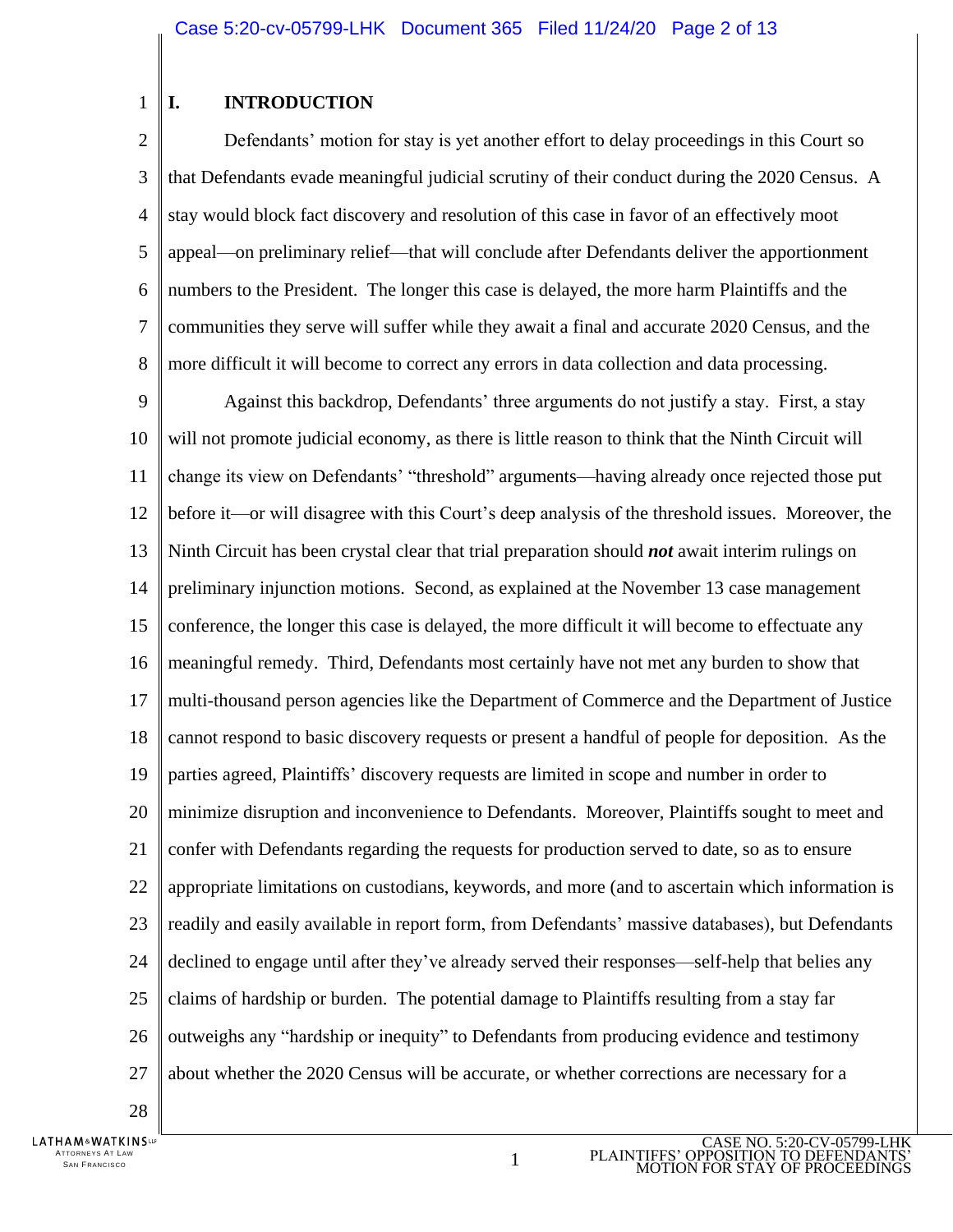#### 1 **I. INTRODUCTION**

2 3 4 5 6 7 8 Defendants' motion for stay is yet another effort to delay proceedings in this Court so that Defendants evade meaningful judicial scrutiny of their conduct during the 2020 Census. A stay would block fact discovery and resolution of this case in favor of an effectively moot appeal—on preliminary relief—that will conclude after Defendants deliver the apportionment numbers to the President. The longer this case is delayed, the more harm Plaintiffs and the communities they serve will suffer while they await a final and accurate 2020 Census, and the more difficult it will become to correct any errors in data collection and data processing.

9 10 11 12 13 14 15 16 17 18 19 20 21 22 23 24 25 26 27 Against this backdrop, Defendants' three arguments do not justify a stay. First, a stay will not promote judicial economy, as there is little reason to think that the Ninth Circuit will change its view on Defendants' "threshold" arguments—having already once rejected those put before it—or will disagree with this Court's deep analysis of the threshold issues. Moreover, the Ninth Circuit has been crystal clear that trial preparation should *not* await interim rulings on preliminary injunction motions. Second, as explained at the November 13 case management conference, the longer this case is delayed, the more difficult it will become to effectuate any meaningful remedy. Third, Defendants most certainly have not met any burden to show that multi-thousand person agencies like the Department of Commerce and the Department of Justice cannot respond to basic discovery requests or present a handful of people for deposition. As the parties agreed, Plaintiffs' discovery requests are limited in scope and number in order to minimize disruption and inconvenience to Defendants. Moreover, Plaintiffs sought to meet and confer with Defendants regarding the requests for production served to date, so as to ensure appropriate limitations on custodians, keywords, and more (and to ascertain which information is readily and easily available in report form, from Defendants' massive databases), but Defendants declined to engage until after they've already served their responses—self-help that belies any claims of hardship or burden. The potential damage to Plaintiffs resulting from a stay far outweighs any "hardship or inequity" to Defendants from producing evidence and testimony about whether the 2020 Census will be accurate, or whether corrections are necessary for a

28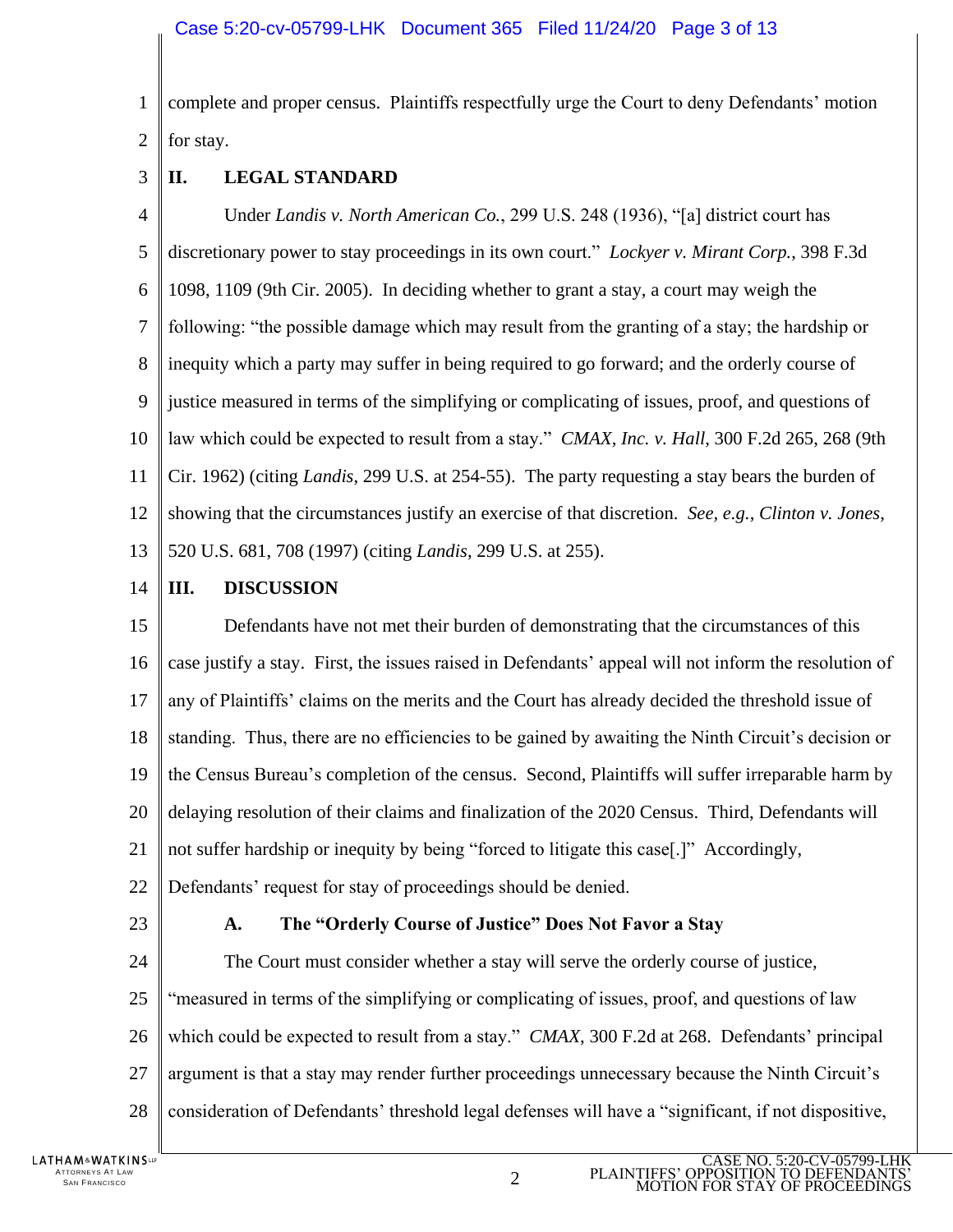1 2 complete and proper census. Plaintiffs respectfully urge the Court to deny Defendants' motion for stay.

3 **II. LEGAL STANDARD**

4 5 6 7 8 9 10 11 12 13 Under *Landis v. North American Co.*, 299 U.S. 248 (1936), "[a] district court has discretionary power to stay proceedings in its own court." *Lockyer v. Mirant Corp.*, 398 F.3d 1098, 1109 (9th Cir. 2005). In deciding whether to grant a stay, a court may weigh the following: "the possible damage which may result from the granting of a stay; the hardship or inequity which a party may suffer in being required to go forward; and the orderly course of justice measured in terms of the simplifying or complicating of issues, proof, and questions of law which could be expected to result from a stay." *CMAX, Inc. v. Hall*, 300 F.2d 265, 268 (9th Cir. 1962) (citing *Landis*, 299 U.S. at 254-55). The party requesting a stay bears the burden of showing that the circumstances justify an exercise of that discretion. *See, e.g.*, *Clinton v. Jones*, 520 U.S. 681, 708 (1997) (citing *Landis*, 299 U.S. at 255).

14 **III. DISCUSSION**

15 16 17 18 19 20 21 22 Defendants have not met their burden of demonstrating that the circumstances of this case justify a stay. First, the issues raised in Defendants' appeal will not inform the resolution of any of Plaintiffs' claims on the merits and the Court has already decided the threshold issue of standing. Thus, there are no efficiencies to be gained by awaiting the Ninth Circuit's decision or the Census Bureau's completion of the census. Second, Plaintiffs will suffer irreparable harm by delaying resolution of their claims and finalization of the 2020 Census. Third, Defendants will not suffer hardship or inequity by being "forced to litigate this case[.]" Accordingly, Defendants' request for stay of proceedings should be denied.

23

## **A. The "Orderly Course of Justice" Does Not Favor a Stay**

24 25 26 27 28 The Court must consider whether a stay will serve the orderly course of justice, "measured in terms of the simplifying or complicating of issues, proof, and questions of law which could be expected to result from a stay." *CMAX*, 300 F.2d at 268. Defendants' principal argument is that a stay may render further proceedings unnecessary because the Ninth Circuit's consideration of Defendants' threshold legal defenses will have a "significant, if not dispositive,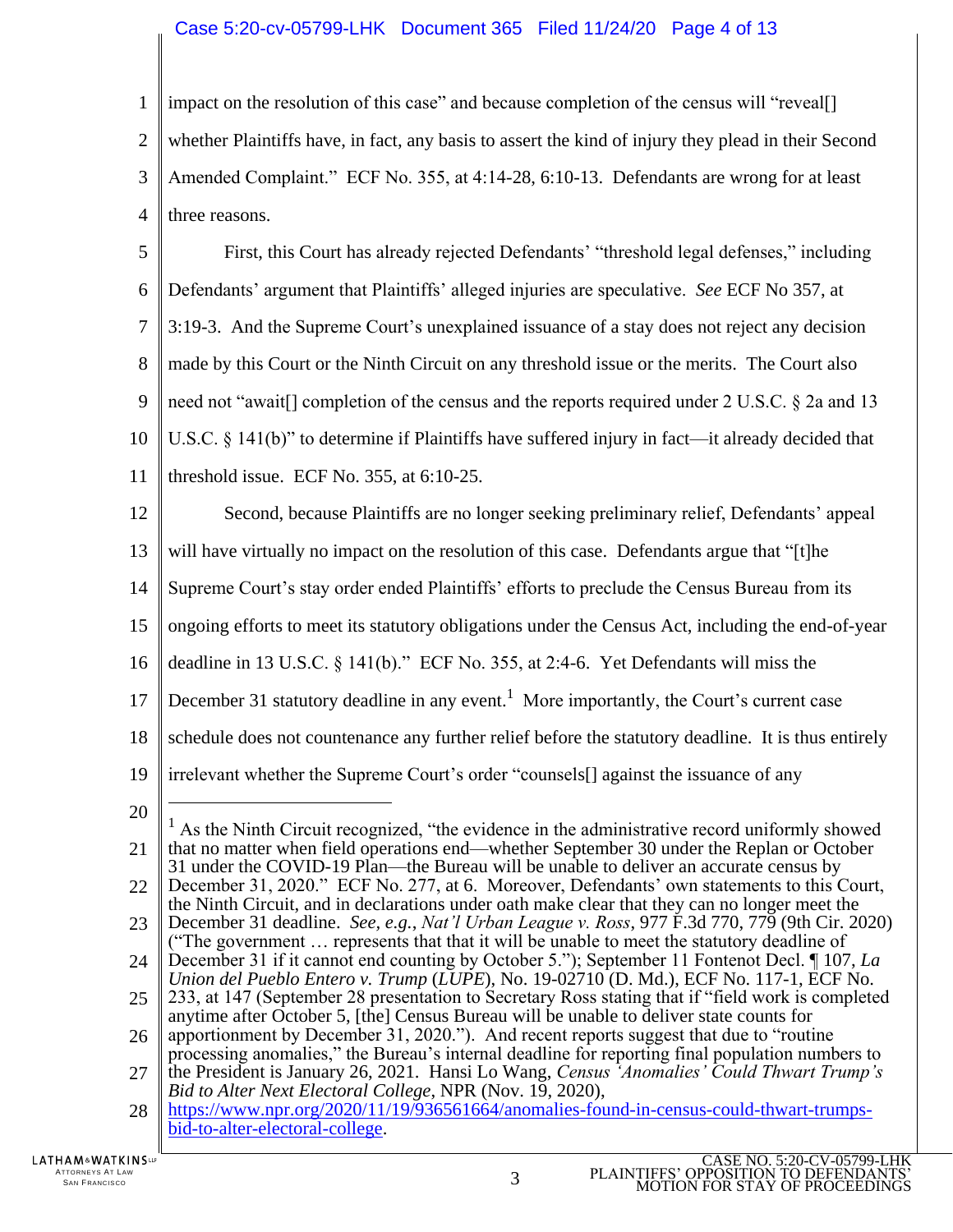### Case 5:20-cv-05799-LHK Document 365 Filed 11/24/20 Page 4 of 13

1  $\mathcal{L}$ 3 4 impact on the resolution of this case" and because completion of the census will "reveal[] whether Plaintiffs have, in fact, any basis to assert the kind of injury they plead in their Second Amended Complaint." ECF No. 355, at 4:14-28, 6:10-13. Defendants are wrong for at least three reasons.

5 6 7 8 9 10 11 First, this Court has already rejected Defendants' "threshold legal defenses," including Defendants' argument that Plaintiffs' alleged injuries are speculative. *See* ECF No 357, at 3:19-3. And the Supreme Court's unexplained issuance of a stay does not reject any decision made by this Court or the Ninth Circuit on any threshold issue or the merits. The Court also need not "await[] completion of the census and the reports required under 2 U.S.C. § 2a and 13 U.S.C. § 141(b)" to determine if Plaintiffs have suffered injury in fact—it already decided that threshold issue. ECF No. 355, at 6:10-25.

- 12 13 14 15 16 17 18 19 Second, because Plaintiffs are no longer seeking preliminary relief, Defendants' appeal will have virtually no impact on the resolution of this case. Defendants argue that "[t]he Supreme Court's stay order ended Plaintiffs' efforts to preclude the Census Bureau from its ongoing efforts to meet its statutory obligations under the Census Act, including the end-of-year deadline in 13 U.S.C. § 141(b)." ECF No. 355, at 2:4-6. Yet Defendants will miss the December 31 statutory deadline in any event.<sup>1</sup> More importantly, the Court's current case schedule does not countenance any further relief before the statutory deadline. It is thus entirely irrelevant whether the Supreme Court's order "counsels[] against the issuance of any
- 20

 $\overline{a}$ 

<sup>21</sup> 22  $<sup>1</sup>$  As the Ninth Circuit recognized, "the evidence in the administrative record uniformly showed</sup> that no matter when field operations end—whether September 30 under the Replan or October 31 under the COVID-19 Plan—the Bureau will be unable to deliver an accurate census by December 31, 2020." ECF No. 277, at 6. Moreover, Defendants' own statements to this Court,

<sup>23</sup> 24 the Ninth Circuit, and in declarations under oath make clear that they can no longer meet the December 31 deadline. *See, e.g.*, *Nat'l Urban League v. Ross*, 977 F.3d 770, 779 (9th Cir. 2020) ("The government … represents that that it will be unable to meet the statutory deadline of December 31 if it cannot end counting by October 5."); September 11 Fontenot Decl. ¶ 107, *La* 

*Union del Pueblo Entero v. Trump* (*LUPE*), No. 19-02710 (D. Md.), ECF No. 117-1, ECF No.

<sup>25</sup> 233, at 147 (September 28 presentation to Secretary Ross stating that if "field work is completed anytime after October 5, [the] Census Bureau will be unable to deliver state counts for

<sup>26</sup> apportionment by December 31, 2020."). And recent reports suggest that due to "routine processing anomalies," the Bureau's internal deadline for reporting final population numbers to

<sup>27</sup> the President is January 26, 2021. Hansi Lo Wang, *Census 'Anomalies' Could Thwart Trump's Bid to Alter Next Electoral College, NPR (Nov. 19, 2020),* 

<sup>28</sup> [https://www.npr.org/2020/11/19/936561664/anomalies-found-in-census-could-thwart-trumps](https://www.npr.org/2020/11/19/936561664/anomalies-found-in-census-could-thwart-trumps-bid-to-alter-electoral-college)[bid-to-alter-electoral-college.](https://www.npr.org/2020/11/19/936561664/anomalies-found-in-census-could-thwart-trumps-bid-to-alter-electoral-college)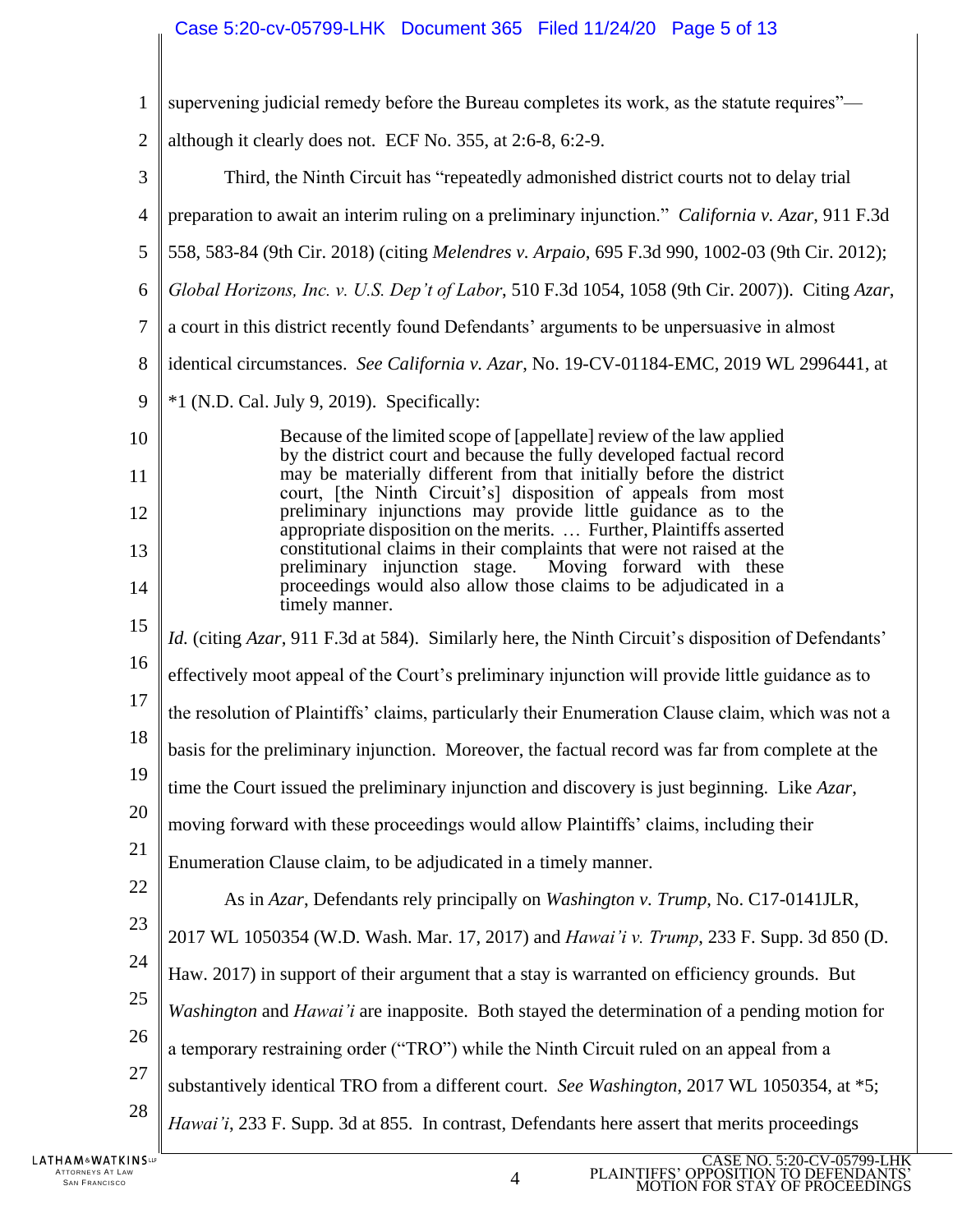# Case 5:20-cv-05799-LHK Document 365 Filed 11/24/20 Page 5 of 13

| $\mathbf{1}$   | supervening judicial remedy before the Bureau completes its work, as the statute requires"—                                                                                                            |  |  |  |  |
|----------------|--------------------------------------------------------------------------------------------------------------------------------------------------------------------------------------------------------|--|--|--|--|
| $\overline{c}$ | although it clearly does not. ECF No. 355, at 2:6-8, 6:2-9.                                                                                                                                            |  |  |  |  |
| 3              | Third, the Ninth Circuit has "repeatedly admonished district courts not to delay trial                                                                                                                 |  |  |  |  |
| $\overline{4}$ | preparation to await an interim ruling on a preliminary injunction." California v. Azar, 911 F.3d                                                                                                      |  |  |  |  |
| 5              | 558, 583-84 (9th Cir. 2018) (citing Melendres v. Arpaio, 695 F.3d 990, 1002-03 (9th Cir. 2012);                                                                                                        |  |  |  |  |
| 6              | Global Horizons, Inc. v. U.S. Dep't of Labor, 510 F.3d 1054, 1058 (9th Cir. 2007)). Citing Azar,                                                                                                       |  |  |  |  |
| 7              | a court in this district recently found Defendants' arguments to be unpersuasive in almost                                                                                                             |  |  |  |  |
| 8              | identical circumstances. See California v. Azar, No. 19-CV-01184-EMC, 2019 WL 2996441, at                                                                                                              |  |  |  |  |
| 9              | $*1$ (N.D. Cal. July 9, 2019). Specifically:                                                                                                                                                           |  |  |  |  |
| 10             | Because of the limited scope of [appellate] review of the law applied<br>by the district court and because the fully developed factual record                                                          |  |  |  |  |
| 11             | may be materially different from that initially before the district                                                                                                                                    |  |  |  |  |
| 12             | court, [the Ninth Circuit's] disposition of appeals from most<br>preliminary injunctions may provide little guidance as to the<br>appropriate disposition on the merits.  Further, Plaintiffs asserted |  |  |  |  |
| 13             | constitutional claims in their complaints that were not raised at the<br>Moving forward with these<br>preliminary injunction stage.                                                                    |  |  |  |  |
| 14             | proceedings would also allow those claims to be adjudicated in a<br>timely manner.                                                                                                                     |  |  |  |  |
| 15             | <i>Id.</i> (citing <i>Azar</i> , 911 F.3d at 584). Similarly here, the Ninth Circuit's disposition of Defendants'                                                                                      |  |  |  |  |
| 16             | effectively moot appeal of the Court's preliminary injunction will provide little guidance as to                                                                                                       |  |  |  |  |
| 17             | the resolution of Plaintiffs' claims, particularly their Enumeration Clause claim, which was not a                                                                                                     |  |  |  |  |
| 18             | basis for the preliminary injunction. Moreover, the factual record was far from complete at the                                                                                                        |  |  |  |  |
| 19             | time the Court issued the preliminary injunction and discovery is just beginning. Like Azar,                                                                                                           |  |  |  |  |
| 20             | moving forward with these proceedings would allow Plaintiffs' claims, including their                                                                                                                  |  |  |  |  |
| 21             | Enumeration Clause claim, to be adjudicated in a timely manner.                                                                                                                                        |  |  |  |  |
| 22             | As in Azar, Defendants rely principally on Washington v. Trump, No. C17-0141JLR,                                                                                                                       |  |  |  |  |
| 23             | 2017 WL 1050354 (W.D. Wash. Mar. 17, 2017) and <i>Hawai'i v. Trump</i> , 233 F. Supp. 3d 850 (D.                                                                                                       |  |  |  |  |
| 24             | Haw. 2017) in support of their argument that a stay is warranted on efficiency grounds. But                                                                                                            |  |  |  |  |
| 25             | Washington and Hawai'i are inapposite. Both stayed the determination of a pending motion for                                                                                                           |  |  |  |  |
| 26             | a temporary restraining order ("TRO") while the Ninth Circuit ruled on an appeal from a                                                                                                                |  |  |  |  |
| 27             | substantively identical TRO from a different court. See Washington, 2017 WL 1050354, at *5;                                                                                                            |  |  |  |  |
| 28             | Hawai'i, 233 F. Supp. 3d at 855. In contrast, Defendants here assert that merits proceedings                                                                                                           |  |  |  |  |

 $\parallel$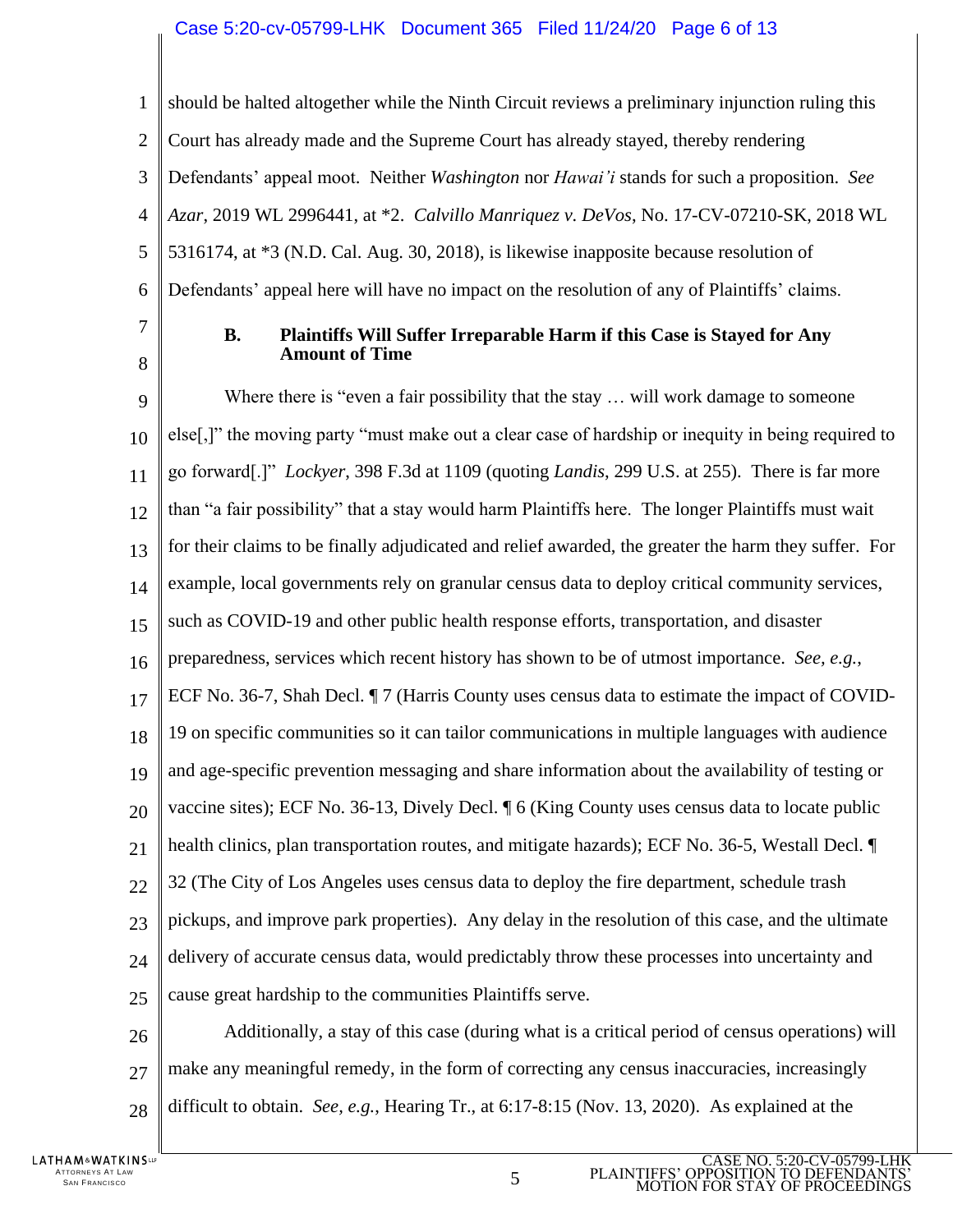### Case 5:20-cv-05799-LHK Document 365 Filed 11/24/20 Page 6 of 13

1  $\mathfrak{D}$ 3 4 5 6 should be halted altogether while the Ninth Circuit reviews a preliminary injunction ruling this Court has already made and the Supreme Court has already stayed, thereby rendering Defendants' appeal moot. Neither *Washington* nor *Hawai'i* stands for such a proposition. *See Azar*, 2019 WL 2996441, at \*2. *Calvillo Manriquez v. DeVos*, No. 17-CV-07210-SK, 2018 WL 5316174, at \*3 (N.D. Cal. Aug. 30, 2018), is likewise inapposite because resolution of Defendants' appeal here will have no impact on the resolution of any of Plaintiffs' claims.

7

8

#### **B. Plaintiffs Will Suffer Irreparable Harm if this Case is Stayed for Any Amount of Time**

9 10 11 12 13 14 15 16 17 18 19 20 21  $22$ 23 24 25 Where there is "even a fair possibility that the stay ... will work damage to someone else[,]" the moving party "must make out a clear case of hardship or inequity in being required to go forward[.]" *Lockyer*, 398 F.3d at 1109 (quoting *Landis*, 299 U.S. at 255). There is far more than "a fair possibility" that a stay would harm Plaintiffs here. The longer Plaintiffs must wait for their claims to be finally adjudicated and relief awarded, the greater the harm they suffer. For example, local governments rely on granular census data to deploy critical community services, such as COVID-19 and other public health response efforts, transportation, and disaster preparedness, services which recent history has shown to be of utmost importance. *See, e.g.*, ECF No. 36-7, Shah Decl.  $\P$  7 (Harris County uses census data to estimate the impact of COVID-19 on specific communities so it can tailor communications in multiple languages with audience and age-specific prevention messaging and share information about the availability of testing or vaccine sites); ECF No. 36-13, Dively Decl. ¶ 6 (King County uses census data to locate public health clinics, plan transportation routes, and mitigate hazards); ECF No. 36-5, Westall Decl. ¶ 32 (The City of Los Angeles uses census data to deploy the fire department, schedule trash pickups, and improve park properties). Any delay in the resolution of this case, and the ultimate delivery of accurate census data, would predictably throw these processes into uncertainty and cause great hardship to the communities Plaintiffs serve.

26 27 28 Additionally, a stay of this case (during what is a critical period of census operations) will make any meaningful remedy, in the form of correcting any census inaccuracies, increasingly difficult to obtain. *See, e.g.*, Hearing Tr., at 6:17-8:15 (Nov. 13, 2020). As explained at the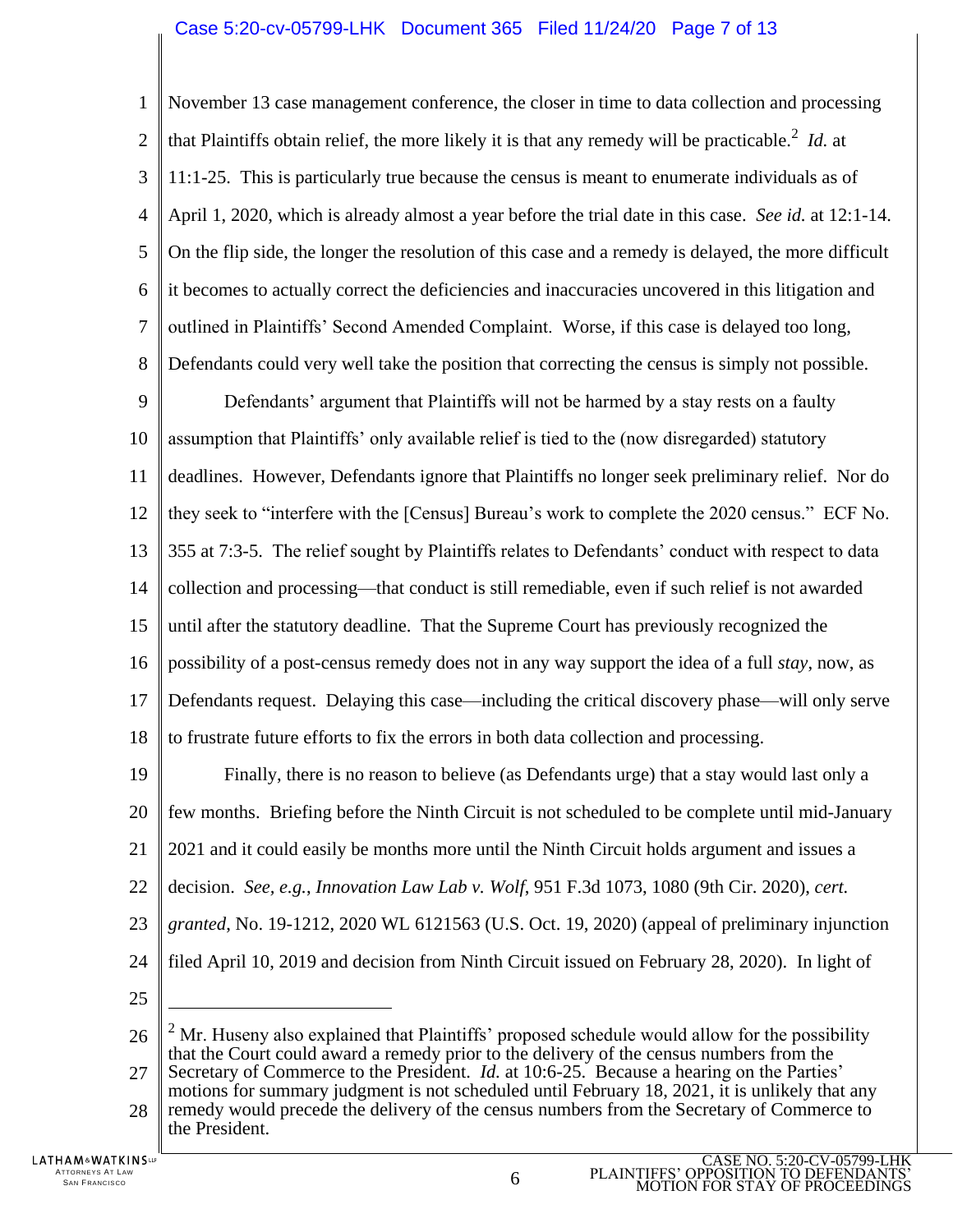1  $\mathcal{L}$ 3 4 5 6 7 8 November 13 case management conference, the closer in time to data collection and processing that Plaintiffs obtain relief, the more likely it is that any remedy will be practicable.<sup>2</sup> *Id.* at 11:1-25. This is particularly true because the census is meant to enumerate individuals as of April 1, 2020, which is already almost a year before the trial date in this case. *See id.* at 12:1-14. On the flip side, the longer the resolution of this case and a remedy is delayed, the more difficult it becomes to actually correct the deficiencies and inaccuracies uncovered in this litigation and outlined in Plaintiffs' Second Amended Complaint. Worse, if this case is delayed too long, Defendants could very well take the position that correcting the census is simply not possible.

9 10 11 12 13 14 15 16 17 18 Defendants' argument that Plaintiffs will not be harmed by a stay rests on a faulty assumption that Plaintiffs' only available relief is tied to the (now disregarded) statutory deadlines. However, Defendants ignore that Plaintiffs no longer seek preliminary relief. Nor do they seek to "interfere with the [Census] Bureau's work to complete the 2020 census." ECF No. 355 at 7:3-5. The relief sought by Plaintiffs relates to Defendants' conduct with respect to data collection and processing—that conduct is still remediable, even if such relief is not awarded until after the statutory deadline. That the Supreme Court has previously recognized the possibility of a post-census remedy does not in any way support the idea of a full *stay*, now, as Defendants request. Delaying this case—including the critical discovery phase—will only serve to frustrate future efforts to fix the errors in both data collection and processing.

19 20 21 22 23 24 25 Finally, there is no reason to believe (as Defendants urge) that a stay would last only a few months. Briefing before the Ninth Circuit is not scheduled to be complete until mid-January 2021 and it could easily be months more until the Ninth Circuit holds argument and issues a decision. *See, e.g.*, *Innovation Law Lab v. Wolf*, 951 F.3d 1073, 1080 (9th Cir. 2020), *cert. granted*, No. 19-1212, 2020 WL 6121563 (U.S. Oct. 19, 2020) (appeal of preliminary injunction filed April 10, 2019 and decision from Ninth Circuit issued on February 28, 2020). In light of  $\overline{a}$ 

26 27 28  $<sup>2</sup>$  Mr. Huseny also explained that Plaintiffs' proposed schedule would allow for the possibility</sup> that the Court could award a remedy prior to the delivery of the census numbers from the Secretary of Commerce to the President. *Id.* at 10:6-25. Because a hearing on the Parties' motions for summary judgment is not scheduled until February 18, 2021, it is unlikely that any remedy would precede the delivery of the census numbers from the Secretary of Commerce to the President.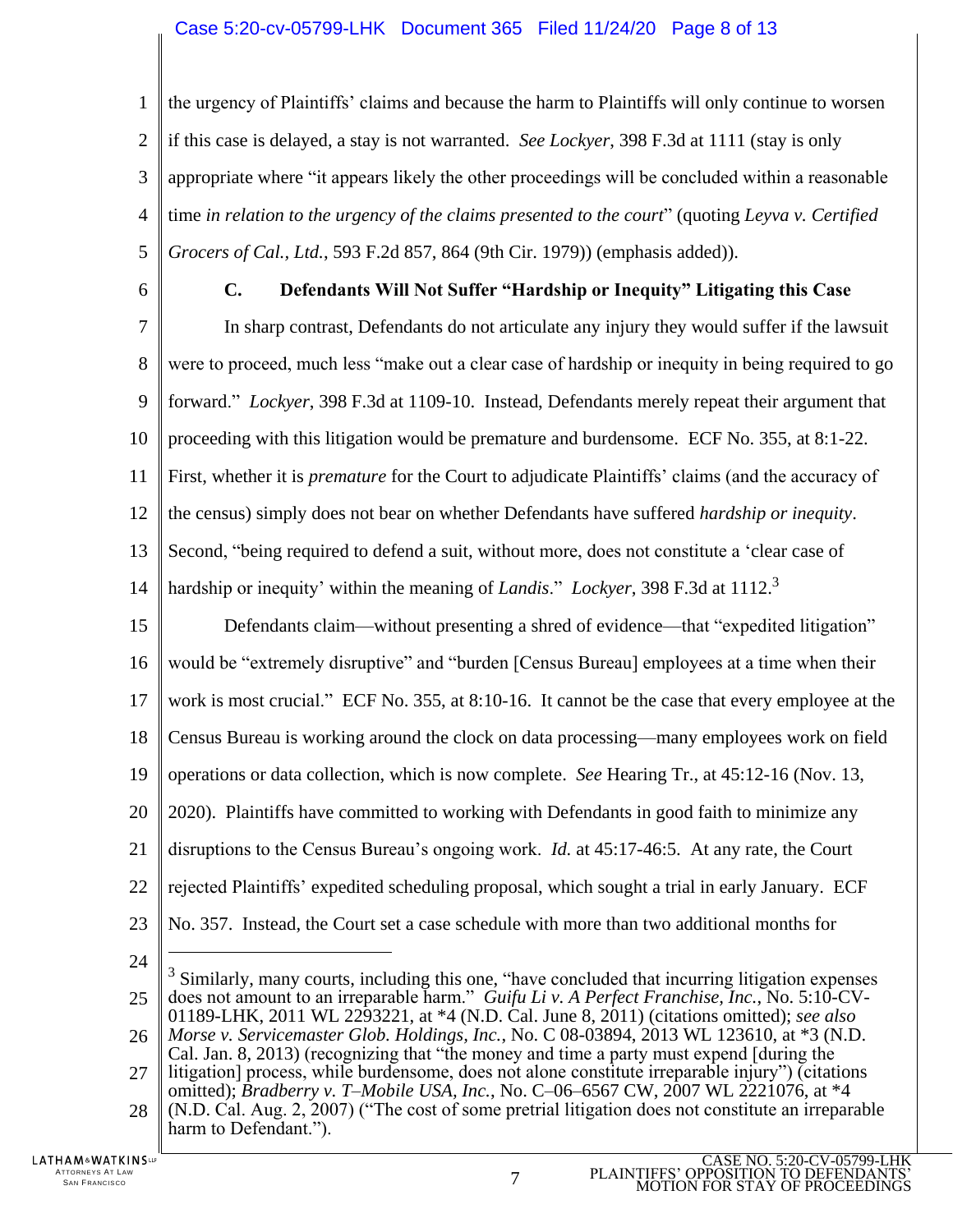### Case 5:20-cv-05799-LHK Document 365 Filed 11/24/20 Page 8 of 13

1  $\mathcal{L}$ 3 4 5 the urgency of Plaintiffs' claims and because the harm to Plaintiffs will only continue to worsen if this case is delayed, a stay is not warranted. *See Lockyer*, 398 F.3d at 1111 (stay is only appropriate where "it appears likely the other proceedings will be concluded within a reasonable time *in relation to the urgency of the claims presented to the court*" (quoting *Leyva v. Certified Grocers of Cal., Ltd.*, 593 F.2d 857, 864 (9th Cir. 1979)) (emphasis added)).

6

**C. Defendants Will Not Suffer "Hardship or Inequity" Litigating this Case**

7 8 9 10 11 12 13 14 In sharp contrast, Defendants do not articulate any injury they would suffer if the lawsuit were to proceed, much less "make out a clear case of hardship or inequity in being required to go forward." *Lockyer*, 398 F.3d at 1109-10. Instead, Defendants merely repeat their argument that proceeding with this litigation would be premature and burdensome. ECF No. 355, at 8:1-22. First, whether it is *premature* for the Court to adjudicate Plaintiffs' claims (and the accuracy of the census) simply does not bear on whether Defendants have suffered *hardship or inequity*. Second, "being required to defend a suit, without more, does not constitute a 'clear case of hardship or inequity' within the meaning of *Landis*." *Lockyer*, 398 F.3d at 1112.<sup>3</sup>

15 16 17 18 19 20 21 22 23 Defendants claim—without presenting a shred of evidence—that "expedited litigation" would be "extremely disruptive" and "burden [Census Bureau] employees at a time when their work is most crucial." ECF No. 355, at 8:10-16. It cannot be the case that every employee at the Census Bureau is working around the clock on data processing—many employees work on field operations or data collection, which is now complete. *See* Hearing Tr., at 45:12-16 (Nov. 13, 2020). Plaintiffs have committed to working with Defendants in good faith to minimize any disruptions to the Census Bureau's ongoing work. *Id.* at 45:17-46:5. At any rate, the Court rejected Plaintiffs' expedited scheduling proposal, which sought a trial in early January. ECF No. 357. Instead, the Court set a case schedule with more than two additional months for

24

 $\overline{a}$ 

<sup>25</sup> <sup>3</sup> Similarly, many courts, including this one, "have concluded that incurring litigation expenses does not amount to an irreparable harm." *Guifu Li v. A Perfect Franchise, Inc.*, No. 5:10-CV-01189-LHK, 2011 WL 2293221, at \*4 (N.D. Cal. June 8, 2011) (citations omitted); *see also*

<sup>26</sup> *Morse v. Servicemaster Glob. Holdings, Inc.*, No. C 08-03894, 2013 WL 123610, at \*3 (N.D. Cal. Jan. 8, 2013) (recognizing that "the money and time a party must expend [during the

<sup>27</sup> 28 litigation] process, while burdensome, does not alone constitute irreparable injury") (citations omitted); *Bradberry v. T–Mobile USA, Inc.*, No. C–06–6567 CW, 2007 WL 2221076, at \*4 (N.D. Cal. Aug. 2, 2007) ("The cost of some pretrial litigation does not constitute an irreparable

harm to Defendant.").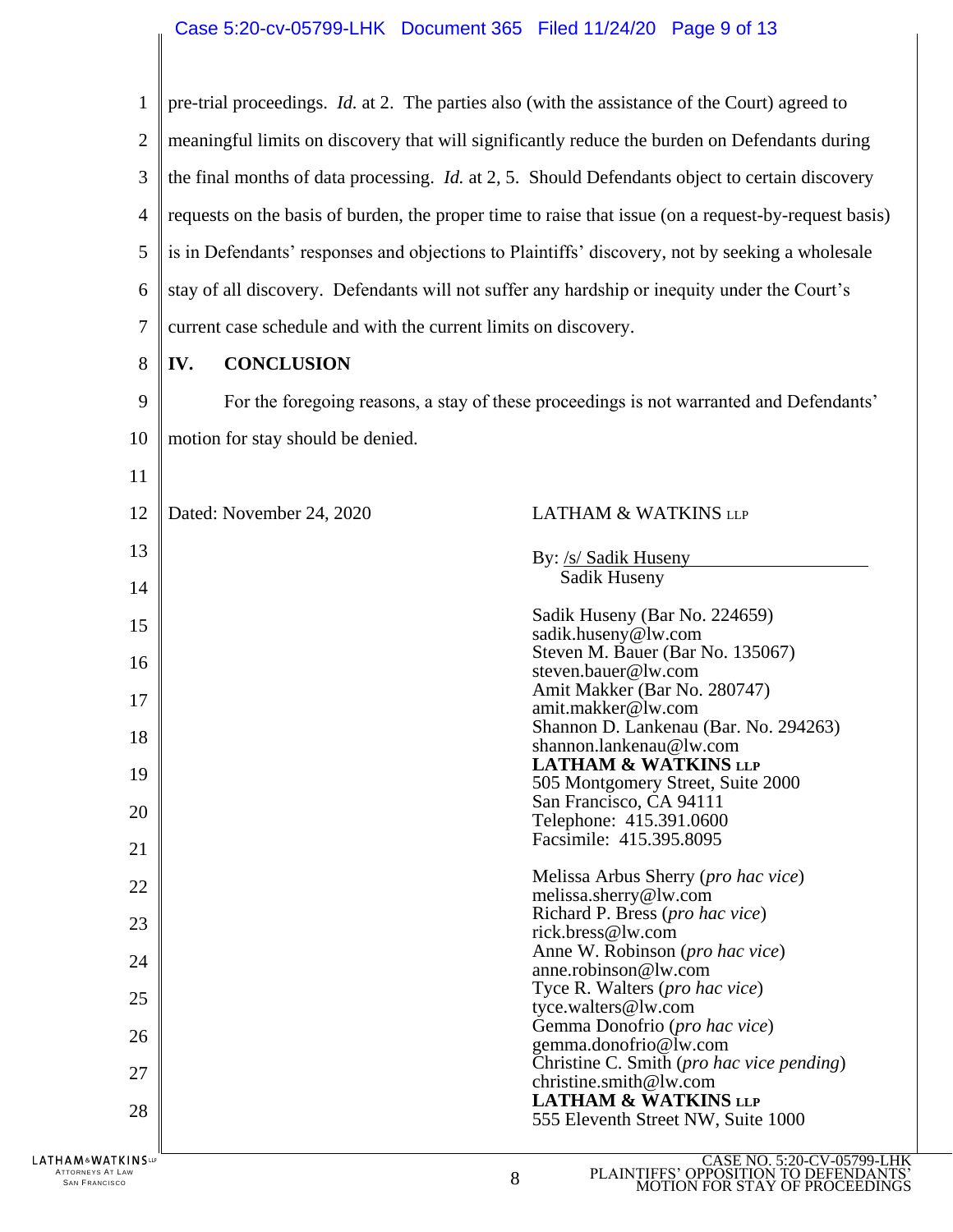| 1                 | pre-trial proceedings. <i>Id.</i> at 2. The parties also (with the assistance of the Court) agreed to |                                                                                         |  |  |
|-------------------|-------------------------------------------------------------------------------------------------------|-----------------------------------------------------------------------------------------|--|--|
| $\overline{2}$    | meaningful limits on discovery that will significantly reduce the burden on Defendants during         |                                                                                         |  |  |
| 3                 | the final months of data processing. Id. at 2, 5. Should Defendants object to certain discovery       |                                                                                         |  |  |
| $\overline{4}$    | requests on the basis of burden, the proper time to raise that issue (on a request-by-request basis)  |                                                                                         |  |  |
| 5                 | is in Defendants' responses and objections to Plaintiffs' discovery, not by seeking a wholesale       |                                                                                         |  |  |
| 6                 | stay of all discovery. Defendants will not suffer any hardship or inequity under the Court's          |                                                                                         |  |  |
| 7                 |                                                                                                       |                                                                                         |  |  |
| 8                 | current case schedule and with the current limits on discovery.                                       |                                                                                         |  |  |
| 9                 | <b>CONCLUSION</b><br>IV.                                                                              |                                                                                         |  |  |
|                   |                                                                                                       | For the foregoing reasons, a stay of these proceedings is not warranted and Defendants' |  |  |
| 10                | motion for stay should be denied.                                                                     |                                                                                         |  |  |
| 11                |                                                                                                       |                                                                                         |  |  |
| 12                | Dated: November 24, 2020                                                                              | <b>LATHAM &amp; WATKINS LLP</b>                                                         |  |  |
| 13                |                                                                                                       | By: /s/ Sadik Huseny                                                                    |  |  |
| 14                |                                                                                                       | Sadik Huseny                                                                            |  |  |
| 15                |                                                                                                       | Sadik Huseny (Bar No. 224659)<br>sadik.huseny@lw.com                                    |  |  |
| 16                |                                                                                                       | Steven M. Bauer (Bar No. 135067)<br>steven.bauer@lw.com                                 |  |  |
| 17                |                                                                                                       | Amit Makker (Bar No. 280747)                                                            |  |  |
|                   |                                                                                                       | amit.makker@lw.com<br>Shannon D. Lankenau (Bar. No. 294263)                             |  |  |
| 18                |                                                                                                       | shannon.lankenau@lw.com<br><b>LATHAM &amp; WATKINS LLP</b>                              |  |  |
| 19                |                                                                                                       | 505 Montgomery Street, Suite 2000                                                       |  |  |
| 20                |                                                                                                       | San Francisco, CA 94111<br>Telephone: 415.391.0600                                      |  |  |
| 21                |                                                                                                       | Facsimile: 415.395.8095                                                                 |  |  |
| 22                |                                                                                                       | Melissa Arbus Sherry (pro hac vice)                                                     |  |  |
| 23                |                                                                                                       | melissa.sherry@lw.com<br>Richard P. Bress (pro hac vice)                                |  |  |
|                   |                                                                                                       | rick.bress@lw.com<br>Anne W. Robinson (pro hac vice)                                    |  |  |
| 24                |                                                                                                       | anne.robinson@lw.com                                                                    |  |  |
| 25                |                                                                                                       | Tyce R. Walters (pro hac vice)<br>tyce.walters@lw.com                                   |  |  |
| 26                |                                                                                                       | Gemma Donofrio (pro hac vice)<br>gemma.donofrio@lw.com                                  |  |  |
| 27                | Christine C. Smith (pro hac vice pending)<br>christine.smith@lw.com                                   |                                                                                         |  |  |
| 28                |                                                                                                       | <b>LATHAM &amp; WATKINS LLP</b><br>555 Eleventh Street NW, Suite 1000                   |  |  |
|                   |                                                                                                       |                                                                                         |  |  |
| LATHAM&WATKINSLLP |                                                                                                       | CASE NO. 5:20-CV-05799-LH                                                               |  |  |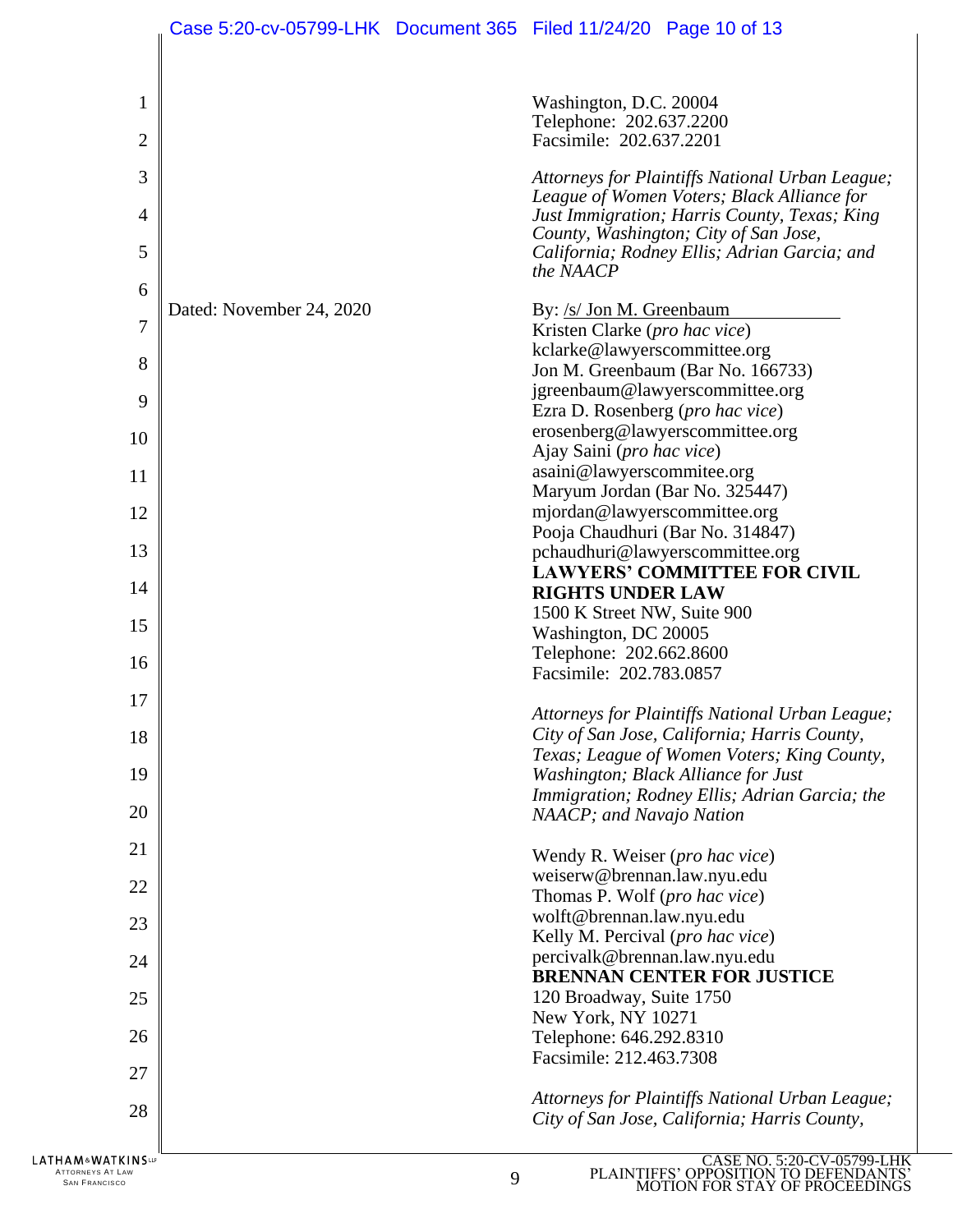| Washington, D.C. 20004<br>$\mathbf{1}$                                                                                                   |  |
|------------------------------------------------------------------------------------------------------------------------------------------|--|
| Telephone: 202.637.2200<br>$\overline{2}$<br>Facsimile: 202.637.2201                                                                     |  |
| 3<br>Attorneys for Plaintiffs National Urban League;                                                                                     |  |
| League of Women Voters; Black Alliance for<br>Just Immigration; Harris County, Texas; King<br>4<br>County, Washington; City of San Jose, |  |
| 5<br>California; Rodney Ellis; Adrian Garcia; and<br>the NAACP                                                                           |  |
| 6<br>Dated: November 24, 2020<br>By: /s/ Jon M. Greenbaum                                                                                |  |
| 7<br>Kristen Clarke (pro hac vice)                                                                                                       |  |
| kclarke@lawyerscommittee.org<br>8                                                                                                        |  |
| Jon M. Greenbaum (Bar No. 166733)<br>jgreenbaum@lawyerscommittee.org                                                                     |  |
| 9<br>Ezra D. Rosenberg (pro hac vice)                                                                                                    |  |
| erosenberg@lawyerscommittee.org<br>10                                                                                                    |  |
| Ajay Saini (pro hac vice)                                                                                                                |  |
| asaini@lawyerscommitee.org<br>11                                                                                                         |  |
| Maryum Jordan (Bar No. 325447)<br>mjordan@lawyerscommittee.org                                                                           |  |
| 12<br>Pooja Chaudhuri (Bar No. 314847)                                                                                                   |  |
| 13<br>pchaudhuri@lawyerscommittee.org                                                                                                    |  |
| <b>LAWYERS' COMMITTEE FOR CIVIL</b>                                                                                                      |  |
| 14<br><b>RIGHTS UNDER LAW</b>                                                                                                            |  |
| 1500 K Street NW, Suite 900<br>15                                                                                                        |  |
| Washington, DC 20005<br>Telephone: 202.662.8600                                                                                          |  |
| 16<br>Facsimile: 202.783.0857                                                                                                            |  |
| 17                                                                                                                                       |  |
| Attorneys for Plaintiffs National Urban League;<br>City of San Jose, California; Harris County,<br>18                                    |  |
| Texas; League of Women Voters; King County,                                                                                              |  |
| 19<br>Washington; Black Alliance for Just                                                                                                |  |
| Immigration; Rodney Ellis; Adrian Garcia; the<br>20<br>NAACP; and Navajo Nation                                                          |  |
|                                                                                                                                          |  |
| 21<br>Wendy R. Weiser (pro hac vice)                                                                                                     |  |
| weiserw@brennan.law.nyu.edu<br>22<br>Thomas P. Wolf (pro hac vice)                                                                       |  |
| wolft@brennan.law.nyu.edu                                                                                                                |  |
| 23<br>Kelly M. Percival (pro hac vice)                                                                                                   |  |
| percivalk@brennan.law.nyu.edu<br>24<br><b>BRENNAN CENTER FOR JUSTICE</b>                                                                 |  |
| 120 Broadway, Suite 1750<br>25                                                                                                           |  |
| New York, NY 10271<br>26<br>Telephone: 646.292.8310                                                                                      |  |
| Facsimile: 212.463.7308<br>27                                                                                                            |  |
| Attorneys for Plaintiffs National Urban League;                                                                                          |  |
| 28<br>City of San Jose, California; Harris County,                                                                                       |  |
| CASE NO. 5:20-CV-05799-LH<br>LATHAM&WATKINSLP                                                                                            |  |

ATTORNEYS AT LAW  $\overline{9}$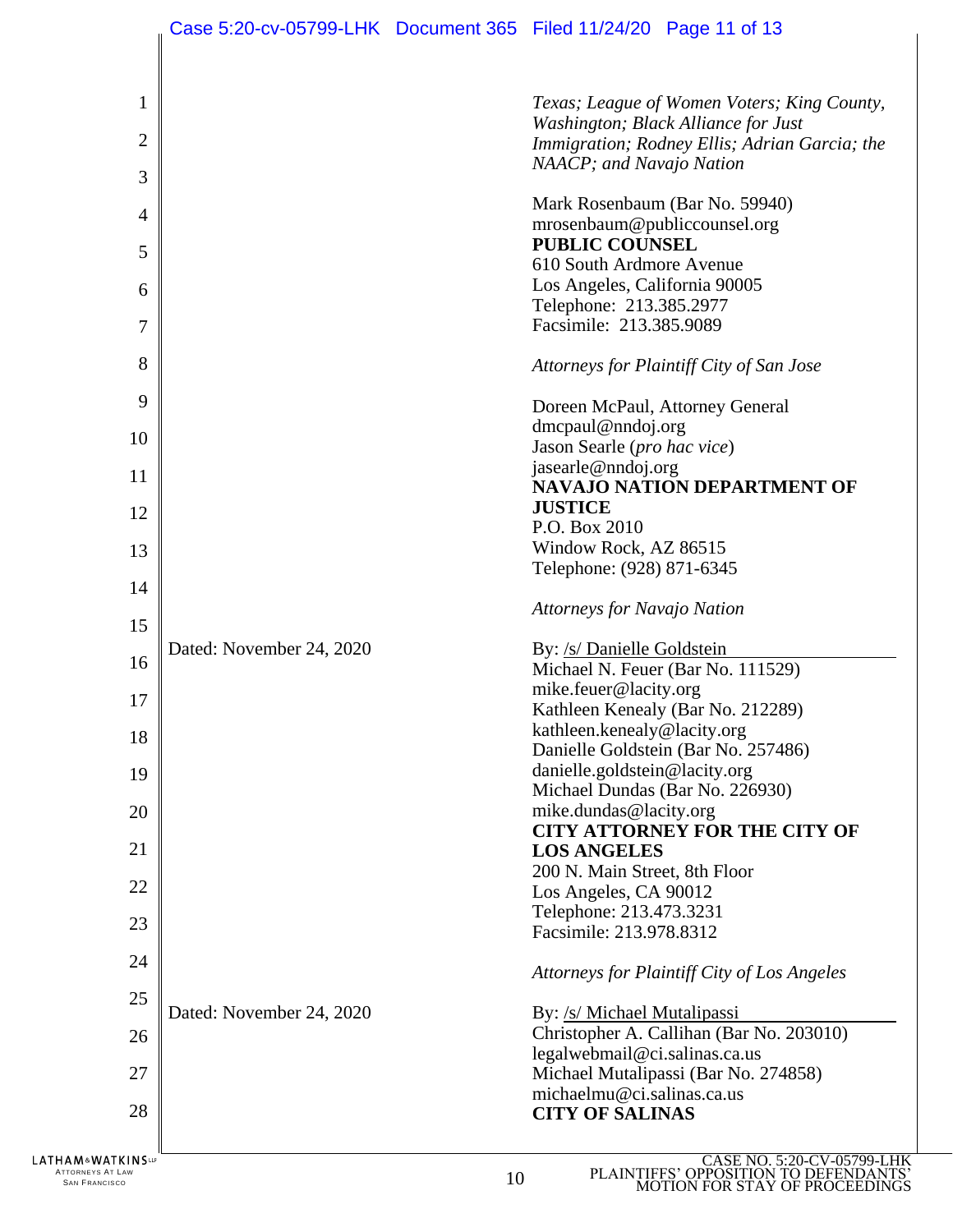|                                                          |                          |    | Case 5:20-cv-05799-LHK  Document 365  Filed 11/24/20  Page 11 of 13                  |
|----------------------------------------------------------|--------------------------|----|--------------------------------------------------------------------------------------|
| $\mathbf{1}$                                             |                          |    | Texas; League of Women Voters; King County,                                          |
| $\overline{2}$                                           |                          |    | Washington; Black Alliance for Just<br>Immigration; Rodney Ellis; Adrian Garcia; the |
| 3                                                        |                          |    | NAACP; and Navajo Nation                                                             |
| $\overline{4}$                                           |                          |    | Mark Rosenbaum (Bar No. 59940)                                                       |
|                                                          |                          |    | mrosenbaum@publiccounsel.org<br><b>PUBLIC COUNSEL</b>                                |
| 5                                                        |                          |    | 610 South Ardmore Avenue                                                             |
| 6                                                        |                          |    | Los Angeles, California 90005                                                        |
| 7                                                        |                          |    | Telephone: 213.385.2977<br>Facsimile: 213.385.9089                                   |
| 8                                                        |                          |    | Attorneys for Plaintiff City of San Jose                                             |
| 9                                                        |                          |    | Doreen McPaul, Attorney General                                                      |
| 10                                                       |                          |    | $d$ mcpaul@nndoj.org                                                                 |
|                                                          |                          |    | Jason Searle (pro hac vice)<br>jasearle@nndoj.org                                    |
| 11                                                       |                          |    | <b>NAVAJO NATION DEPARTMENT OF</b>                                                   |
| 12                                                       |                          |    | <b>JUSTICE</b>                                                                       |
|                                                          |                          |    | P.O. Box 2010                                                                        |
| 13                                                       |                          |    | Window Rock, AZ 86515<br>Telephone: (928) 871-6345                                   |
| 14                                                       |                          |    |                                                                                      |
| 15                                                       |                          |    | <b>Attorneys for Navajo Nation</b>                                                   |
|                                                          | Dated: November 24, 2020 |    | By: /s/ Danielle Goldstein                                                           |
| 16                                                       |                          |    | Michael N. Feuer (Bar No. 111529)                                                    |
| 17                                                       |                          |    | mike.feuer@lacity.org<br>Kathleen Kenealy (Bar No. 212289)                           |
| 18                                                       |                          |    | kathleen.kenealy@lacity.org                                                          |
|                                                          |                          |    | Danielle Goldstein (Bar No. 257486)                                                  |
| 19                                                       |                          |    | danielle.goldstein@lacity.org                                                        |
| 20                                                       |                          |    | Michael Dundas (Bar No. 226930)<br>mike.dundas@lacity.org                            |
|                                                          |                          |    | <b>CITY ATTORNEY FOR THE CITY OF</b>                                                 |
| 21                                                       |                          |    | <b>LOS ANGELES</b>                                                                   |
| 22                                                       |                          |    | 200 N. Main Street, 8th Floor                                                        |
|                                                          |                          |    | Los Angeles, CA 90012<br>Telephone: 213.473.3231                                     |
| 23                                                       |                          |    | Facsimile: 213.978.8312                                                              |
| 24                                                       |                          |    | Attorneys for Plaintiff City of Los Angeles                                          |
| 25                                                       |                          |    |                                                                                      |
|                                                          | Dated: November 24, 2020 |    | By: /s/ Michael Mutalipassi                                                          |
| 26                                                       |                          |    | Christopher A. Callihan (Bar No. 203010)<br>legalwebmail@ci.salinas.ca.us            |
| 27                                                       |                          |    | Michael Mutalipassi (Bar No. 274858)                                                 |
| 28                                                       |                          |    | michaelmu@ci.salinas.ca.us<br><b>CITY OF SALINAS</b>                                 |
| HAM&WATKINS™<br>ATTORNEYS AT LAW<br><b>SAN FRANCISCO</b> |                          | 10 | CASE NO. 5:20-CV-05799-LHK<br>PLAINTIFFS' OPPOSITION TO DEFENDANTS                   |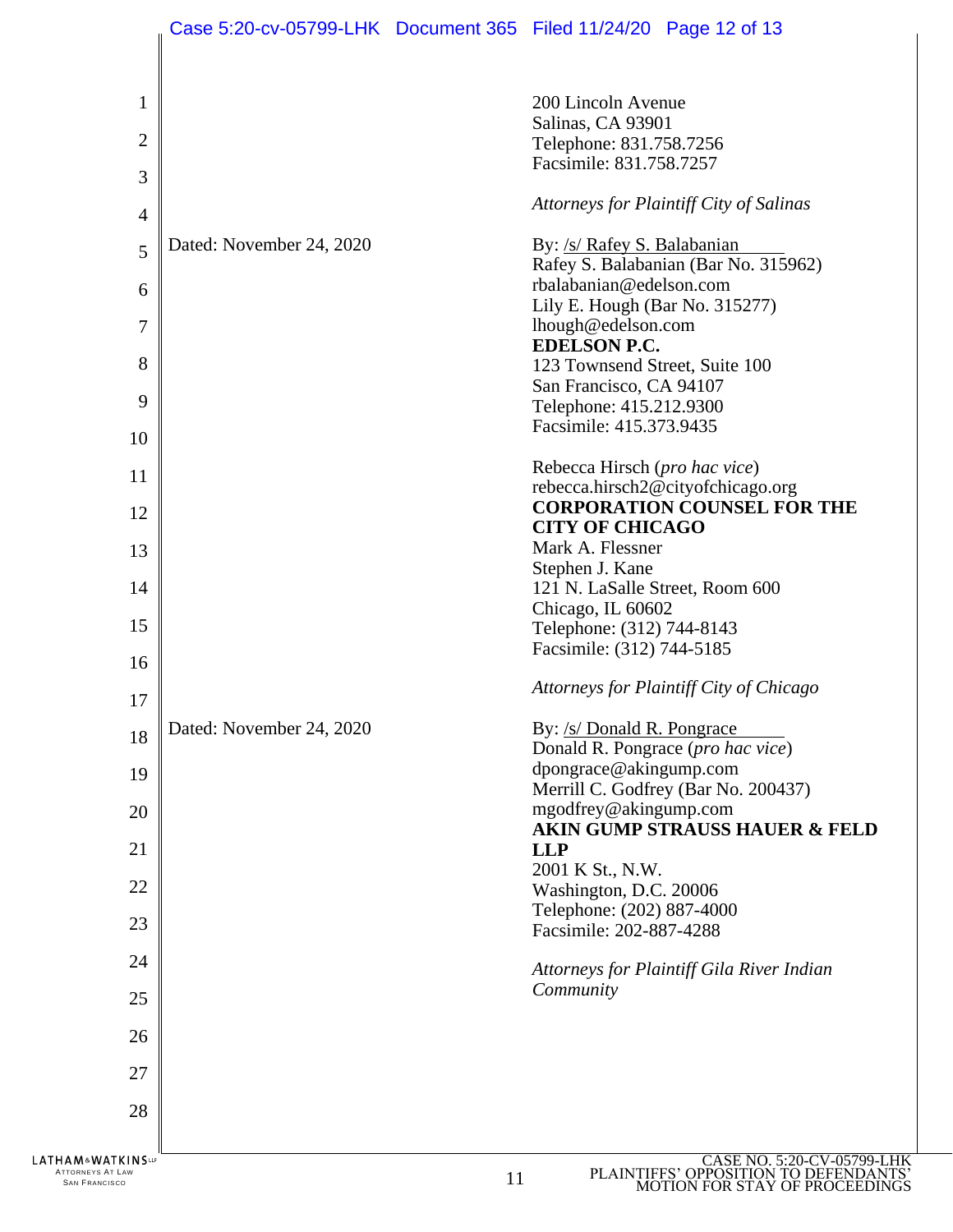|                                                          |                          |    | Case 5:20-cv-05799-LHK Document 365 Filed 11/24/20 Page 12 of 13                                                                                                                                                |
|----------------------------------------------------------|--------------------------|----|-----------------------------------------------------------------------------------------------------------------------------------------------------------------------------------------------------------------|
| 1<br>$\overline{2}$<br>3<br>$\overline{4}$<br>5          | Dated: November 24, 2020 |    | 200 Lincoln Avenue<br>Salinas, CA 93901<br>Telephone: 831.758.7256<br>Facsimile: 831.758.7257<br>Attorneys for Plaintiff City of Salinas<br>By: /s/ Rafey S. Balabanian<br>Rafey S. Balabanian (Bar No. 315962) |
| 6<br>7                                                   |                          |    | rbalabanian@edelson.com<br>Lily E. Hough (Bar No. 315277)<br>lhough@edelson.com                                                                                                                                 |
| 8                                                        |                          |    | <b>EDELSON P.C.</b><br>123 Townsend Street, Suite 100                                                                                                                                                           |
| 9                                                        |                          |    | San Francisco, CA 94107<br>Telephone: 415.212.9300                                                                                                                                                              |
| 10                                                       |                          |    | Facsimile: 415.373.9435                                                                                                                                                                                         |
| 11                                                       |                          |    | Rebecca Hirsch (pro hac vice)<br>rebecca.hirsch2@cityofchicago.org<br><b>CORPORATION COUNSEL FOR THE</b>                                                                                                        |
| 12                                                       |                          |    | <b>CITY OF CHICAGO</b><br>Mark A. Flessner                                                                                                                                                                      |
| 13                                                       |                          |    | Stephen J. Kane                                                                                                                                                                                                 |
| 14                                                       |                          |    | 121 N. LaSalle Street, Room 600<br>Chicago, IL 60602                                                                                                                                                            |
| 15                                                       |                          |    | Telephone: (312) 744-8143<br>Facsimile: (312) 744-5185                                                                                                                                                          |
| 16                                                       |                          |    | Attorneys for Plaintiff City of Chicago                                                                                                                                                                         |
| 17                                                       |                          |    |                                                                                                                                                                                                                 |
| 18                                                       | Dated: November 24, 2020 |    | By: /s/ Donald R. Pongrace<br>Donald R. Pongrace (pro hac vice)<br>dpongrace@akingump.com                                                                                                                       |
| 19                                                       |                          |    | Merrill C. Godfrey (Bar No. 200437)                                                                                                                                                                             |
| 20                                                       |                          |    | mgodfrey@akingump.com<br><b>AKIN GUMP STRAUSS HAUER &amp; FELD</b>                                                                                                                                              |
| 21                                                       |                          |    | <b>LLP</b><br>2001 K St., N.W.                                                                                                                                                                                  |
| 22                                                       |                          |    | Washington, D.C. 20006<br>Telephone: (202) 887-4000                                                                                                                                                             |
| 23                                                       |                          |    | Facsimile: 202-887-4288                                                                                                                                                                                         |
| 24                                                       |                          |    | Attorneys for Plaintiff Gila River Indian                                                                                                                                                                       |
| 25                                                       |                          |    | Community                                                                                                                                                                                                       |
| 26                                                       |                          |    |                                                                                                                                                                                                                 |
| 27                                                       |                          |    |                                                                                                                                                                                                                 |
| 28                                                       |                          |    |                                                                                                                                                                                                                 |
| HAM&WATKINS℡<br>ATTORNEYS AT LAW<br><b>SAN FRANCISCO</b> |                          | 11 | CASE NO. 5:20-CV-05799-L<br>PLAINTIFFS' OPPOSITION TO DEFENDAN<br><b>JOTION FOR STAY OF PROC</b>                                                                                                                |